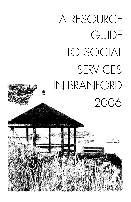# A RESOURCE **GUIDE** TO SOCIAL SERVICES IN BRANFORD 2006

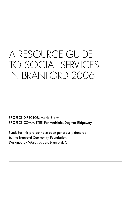### A RESOURCE GUIDE TO SOCIAL SERVICES IN BRANFORD 2006

PROJECT DIRECTOR: Maria Storm PROJECT COMMITTEE: Pat Andriole, Dagmar Ridgeway

Funds for this project have been generously donated by the Branford Community Foundation. Designed by Words by Jen, Branford, CT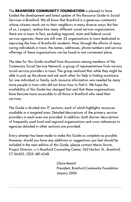The **BRANFORD COMMUNITY FOUNDATION** is pleased to have funded the development and latest update of this Resource Guide to Social Services in Branford. We all know that Branford is a generous community whose citizens reach out to their neighbors in many diverse ways. But few of us, I suspect, realize how many different social service organizations there are in town. In fact, excluding regional, state and federal social service agencies, there are still over 32 organizations in town dedicated to improving the lives of Branford's residents. Now, through the efforts of many caring individuals in town, the names, addresses, phone numbers and service offerings of these organizations can be found in one convenient place.

The idea for this Guide resulted from discussions among members of the Community Social Service Network, a group of representatives from various social service providers in town. The group realized that while they might be able to pick up the phone and ask each other for help in finding assistance for one individual or family, such resource information was needed by many more people in town who did not know how to find it. We hope the availability of this Guide has changed that and that these organizations have become more accessible to all those in Branford who need their services.

The Guide is divided into 17 sections, each of which highlights resources available in a targeted area. Detailed descriptions of the primary service providers in each area are provided. In addition, both shorter descriptions of frequently used local and regional organizations and cross references to agencies detailed in other sections are provided.

Every attempt has been made to make this Guide as complete as possible. However, should you have any additions or suggestions you feel should be included in the next edition of this Guide, please contact Maria Storm, Project Director, c/o Branford Counseling Center, 342 Harbor St., Branford, CT 06405, (203) 481-4248.

> Claire Bennitt President, Branford Community Foundation January 2006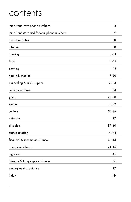### contents

| important town phone numbers              | 8         |
|-------------------------------------------|-----------|
| important state and federal phone numbers | 9         |
| useful websites                           | 10        |
| infoline                                  | 10        |
| housing                                   | $11 - 14$ |
| food                                      | $14 - 15$ |
| clothing                                  | 16        |
| health & medical                          | $17 - 20$ |
| counseling & crisis support               | $21 - 24$ |
| substance abuse                           | 24        |
| youth                                     | 25-30     |
| women                                     | 31-32     |
| seniors                                   | 32-36     |
| veterans                                  | 37        |
| disabled                                  | $37 - 40$ |
| transportation                            | $41 - 42$ |
| financial & income assistance             | $43 - 44$ |
| energy assistance                         | $44 - 45$ |
| legal aid                                 | 45        |
| literacy & language assistance            | 46        |
| employment assistance                     | 47        |
| index                                     | 48-       |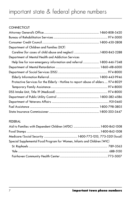### important state & federal phone numbers

| <b>CONNECTICUT</b>                                                               |  |
|----------------------------------------------------------------------------------|--|
|                                                                                  |  |
|                                                                                  |  |
|                                                                                  |  |
| Department of Children and Families (DCF)                                        |  |
|                                                                                  |  |
| Department of Mental Health and Addiction Services                               |  |
| Help line for non-emergency information and referral  1-800-446-7348             |  |
|                                                                                  |  |
|                                                                                  |  |
|                                                                                  |  |
| Protective Services for the Elderly - Hotline to report abuse of elders 974-8029 |  |
|                                                                                  |  |
|                                                                                  |  |
|                                                                                  |  |
|                                                                                  |  |
|                                                                                  |  |
|                                                                                  |  |

#### FEDERAL

| Special Supplemental Food Program for Women, Infants and Children (WIC) |  |
|-------------------------------------------------------------------------|--|
|                                                                         |  |
|                                                                         |  |
|                                                                         |  |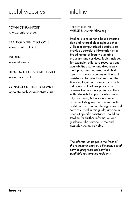### useful websites

TOWN OF BRANFORD www.branford-ct.gov

#### BRANFORD PUBLIC SCHOOLS www.branford.k12.ct.us

INFOLINE www.infoline.org

DEPARTMENT OF SOCIAL SERVICES www.dss.state.ct.us

CONNECTICUT ELDERLY SERVICES www.ctelderlyservices.state.ct.us

infoline

TELEPHONE: 211 WEBSITE: www.infoline.org

Infoline is a telephone-based information and referral clearinghouse that utilizes a computerized database to provide up-to-date information on a broad range of locally available programs and services. Topics include, for example, child care resources and availability, alcohol and drug treatment programs, maternal and child health programs, sources of financial assistance, targeted hotlines and the time and location of an array of selfhelp groups. Infoline's professional caseworkers not only provide callers with referrals to appropriate community resources, but also intervene in crises including suicide prevention. In addition to consulting the agencies and services listed in this guide, anyone in need of specific assistance should call Infoline for further information and guidance. The service is free and is available 24 hours a day.

The information pages in the front of the telephone book also list many social service programs and services available to shoreline residents.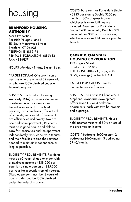## housing

#### **BRANFORD HOUSING AUTHORITY**

Merit Properties Parkside Villages I and II 115 South Montowese Street Branford, CT 06405 TELEPHONE: 481-3194 RENTAL INFORMATION: 481-5632 FAX: 483-9157

HOURS: Monday - Friday, 8 a.m.- 4 p.m.

TARGET POPULATION: Low income persons who are at least 62 years old or who are 100% disabled under a federal program.

SERVICES: The Branford Housing Authority (BHA) provides independent apartment living for seniors with limited incomes or for disabled persons, Two complexes offer a total of 90 units; sixty-eight of these units are efficiencies and twenty-two are one bedroom apartments, Residents must be in good health and able to care for themselves and the apartment independently. BHA works with tenants and their families to find the services needed to maintain independence as long as possible.

ELIGIBILITY REQUIREMENTS: Residents must be 62 years of age or older with a maximum income of \$39,550 per year for a single person or \$45,200 per year for a couple from all sources. Disabled persons must be 18 years of age or older and be 100% disabled under the federal program.

COSTS: Base rent for Parkside I: Single - \$243 per month; Double \$260 per month or 30% of gross income, whichever is more. Utilities are included. Base rent for Parkside II: Single \$200 per month; Double - \$210 per month or 30% of gross income, whichever is more. Utilities are paid by tenants.

#### **CARRIE P. CHANDLER HOUSING CORPORATION**

13G Rogers Street Branford, CT 06405 TELEPHONE: 481-4241, days, 488- 0829, evenings (ask for Bob Gill)

TARGET POPULATION: Low to moderate income families.

SERVICES: The Carrie P. Chandler's St. Stephen's Townhouse development offers seven 1, 2 or 3 bedroom apartments, each with two bathrooms and a garage.

ELIGIBILITY REQUIREMENTS: Household incomes must total 80% or less of the area median income.

COSTS: 1 bedroom: \$600/month; 2 bedrooms: \$660/month; 3 bedrooms: \$740/month.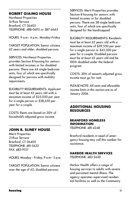#### **ROBERT GIAIMO HOUSE**

Northeast Properties 14 Rice Terrace Branford, CT 06405 TELEPHONE: 488-0695 or 387-6665

HOURS: 9 a.m.- 4 p.m., Monday-Friday

TARGET POPULATION: Senior citizens 62 years and older; disabled persons.

SERVICES: Northeast Properties provides Section 8 housing for seniors with limited incomes or for disabled persons. There are 44 single bedroom units, four of which are specifically designed for persons with mobility impairments.

ELIGIBILITY REQUIREMENTS: Applicant must be at least 62 years old with a maximum income of \$25,050 per year for a single person or \$28,650 per year for a couple.

COSTS: Rents are based on 30% of household's adjusted gross income.

#### **JOHN B. SLINEY HOUSE**

Merit Properties 21 Rice Terrace Branford, CT 06405 TELEPHONE: 481-5632 FAX: 483-9157

HOURS: Monday - Friday, 9 a.m.- 5 p.m.

TARGET POPULATION: Senior citizens over the age of 62; disabled persons.

SERVICES: Merit Properties provides Section 8 housing for seniors with limited incomes or for disabled persons. There are 38 single bedroom units, four of which are specifically designed for the handicapped.

ELIGIBILITY REQUIREMENTS: Residents must be at least 62 years old with a maximum income of \$39,550 per year for a single person or \$45,200 per year for a couple. Disabled persons must be at least 62 years old and be 100% disabled under the federal program.

COSTS: 30% of tenant's adjusted gross income must go for rent.

PLEASE NOTE: All rents and allowable income limits in this section are as of January 2006.

#### **ADDITIONAL HOUSING RESOURCES**

#### **BRANFORD HOMELESS INFORMATION**

TELEPHONE: 481-4248

Branford residents in need of emergency housing may call this number for assistance.

#### **HARBOR HEALTH SERVICES**

TELEPHONE: 483-2630

Harbor Health offers a range of housing services to adults with severe and persistent mental illness. The agency operates supervised residential facilities as well as the Community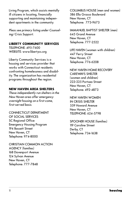Living Program, which assists mentally ill citizens in locating, financially supporting and maintaining independent apartments in the community.

Pleas see primary listing under Counseling/Crisis Support.

#### **LIBERTY COMMUNITY SERVICES**

TELEPHONE: 495-7600 WEBSITE: www.libertycs.org

Liberty Community Services is a housing and services provider that works with Connecticut residents confronting homelessness and disability. The organization has residential programs throughout the region.

#### **NEW HAVEN AREA SHELTERS**

These independently run shelters in the New Haven area offer emergency overnight housing on a first-come, first-served basis.

CONNECTICUT DEPARTMENT OF SOCIAL SERVICES SC Regional Office Emergency Housing Program 194 Bassett Street New Haven, CT Telephone: 974-8000

CHRISTIAN COMMON ACTION AGENCY (families) 168 Davenport Avenue 124 Sylvan Avenue New Haven, CT Telephone: 777-7848

COLUMBUS HOUSE (men and women) 586 Ella Grasso Boulevard New Haven, CT Telephone: 773-9673

IMMANUEL BAPTIST SHELTER (men) 645 Grand Avenue New Haven, CT Telephone: 777-2522

LIFE HAVEN (women with children) 447 Ferry Street New Haven, CT Telephone: 776-6208

NEW HAVEN HOME RECOVERY CAREWAYS SHELTER (women and children) 223-225 Portsea Street New Haven, CT Telephone: 492-4873

NEW HAVEN WOMEN IN CRISIS SHELTER 559 Howard Avenue New Haven, CT TELEPHONE: 624-5798

SPOONER HOUSE (families) 119 Caroline Street Derby, CT Telephone: 734-1638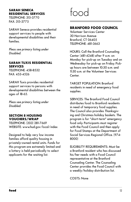#### **SARAH SENECA RESIDENTIAL SERVICES**

TELEPHONE: 315-3770 FAX: 315-3775

SARAH Seneca provides residential support services to people with developmental disabilities and their families.

Pleas see primary listing under Disabled.

#### **SARAH TUXIS RESIDENTIAL SERVICES** TELEPHONE: 458-8532

FAX: 453-4526

SARAH Tuxis provides residential support services to persons with developmental disabilities between the ages of 18-65.

Pleas see primary listing under Disabled.

#### **SECTION 8 HOUSING VOUCHERS/WRAP**

TELEPHONE: (203) 281-7669 WEBSITE: www.hud.gov/local/index

Designed to help very low income families afford quality housing in privately-owned rental units. Funds for this program are extremely limited and a lottery is held periodically to select applicants for the waiting list.



#### **BRANFORD FOOD COUNCIL**

Volunteer Services Center 30 Harrison Avenue Branford, CT 06405 TELEPHONE: 481-3663

HOURS: Call the Branford Counseling Center (481-4248) after 9 a.m. on Monday for pick-up on Tuesday and on Wednesday for pick-up on Friday. Pickup hours are between 10:30 a.m. and 11:30 a.m. at the Volunteer Services Center.

TARGET POPULATION: Branford residents in need of emergency food supplies.

SERVICES: The Branford Food Council distributes food to Branford residents in need of temporary food supplies. The Council also provides Thanksgiving and Christmas holiday baskets. The program is for "short-term" emergency food only. Participants must register with the Food Council and then apply for Food Stamps at the Department of Social Services Regional Office. (974- 8000)

ELIGIBILITY REQUIREMENTS: Must be a Branford resident who has discussed his/her needs with a Food Council representative at the Branford Counseling Center. The Counseling Center provides the Food Council with a weekly/holiday distribution list.

COSTS: None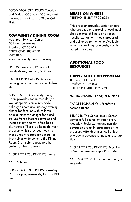FOOD DROP-OFF HOURS: Tuesday and Friday, 10:30 a.m.- 11:30 am; most mornings from 7 a.m. to 10 am. Call first.

#### **COMMUNITY DINING ROOM**

Volunteer Services Center 30 Harrison Avenue Branford, CT 06405 TELEPHONE: 488-9750 WEBSITE: www.communitydiningroom.org

HOURS: Every day, 12 noon - 1 p.m., Family dinner, Tuesday, 5:30 p.m.

TARGET POPULATION: Anyone seeking nutritional support or fellowship.

SERVICES: The Community Dining Room provides hot lunches daily as well as special community-wide holiday dinners and Tuesday evening dinner for families with children. Special dinners highlight food and culture from different countries and include story time with free book distribution. There is a home delivery program which provides meals to those unable to prepare a meal for themselves or to come to the Dining Room. Staff refer guests to other social service programs.

#### ELIGIBILITY REQUIREMENTS: None

COSTS: None

FOOD DROP-OFF HOURS: weekdays, 9 a.m.- 2 p.m.; weekends, 10 a.m.- 1:30 p.m.

**MEALS ON WHEELS** TELEPHONE: 387-7700 x254

This program provides senior citizens who are unable to travel to local meal sites because of illness or a recent hospitalization with meals prepared and delivered to the home. Available on a short or long term basis; cost is based on income.

#### **ADDITIONAL FOOD RESOURCES**

#### **ELDERLY NUTRITION PROGRAM**

11 Cherry Hill Road Branford, CT 06405 TELEPHONE: 481-3429, x121

HOURS: Monday - Friday at 12 Noon

TARGET POPULATION: Branford's senior citizens

SERVICES: The Canoe Brook Center serves a full course luncheon every weekday. Socialization and nutrition education are an integral part of the program. Attendees must call at least one day in advance to make a reservation.

ELIGIBILITY REQUIREMENTS: Must be a Branford resident age 60 or older.

COSTS: A \$2.00 donation (per meal) is suggested.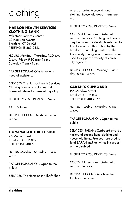## clothing

#### **HARBOR HEALTH SERVICES CLOTHING BANK**

Volunteer Services Center 30 Harrison Avenue Branford, CT 06405 TELEPHONE: 483-2643

HOURS: Monday - Thursday, 9:30 a.m.- 2 p.m., Friday, 9:30 a.m.- 1 p.m., Saturday, 11 a.m.- 1 p.m.

TARGET POPULATION: Anyone in need of assistance.

SERVICES: The Harbor Health Services Clothing Bank offers clothes and household items to those who qualify.

ELIGIBILITY REQUIREMENTS: None.

COSTS: None

DROP-OFF HOURS: Anytime the Bank is open.

#### **HOMEMAKER THRIFT SHOP**

76 Maple Street Branford, CT 06405 TELEPHONE: 481-5161

HOURS: Monday - Saturday, 10 a.m.- 4 p.m.

TARGET POPULATION: Open to the public.

SERVICES: The Homemaker Thrift Shop

offers affordable second hand clothing, household goods, furniture, etc.

ELIGIBILITY REQUIREMENTS: None

COSTS: All items are ticketed at a reasonable price. Clothing and goods may be given to individuals referred to the Homemaker Thrift Shop by the Branford Counseling Center or The Community Dining Room. Proceeds are used to support a variety of community agencies.

DROP-OFF HOURS: Monday - Saturday, 10 a.m.- 3 p.m.

#### **SARAH'S CUPBOARD**

155 Meadow Street Branford, CT 06405 TELEPHONE: 481-4052

HOURS: Tuesday - Saturday, 10 a.m.- 4 p.m.

TARGET POPULATION: Open to the public.

SERVICES: SARAH's Cupboard offers a variety of second hand clothing and household items. Proceeds are used to fund SARAH Inc.'s activities in support of the disabled.

ELIGIBILITY REQUIREMENTS: None

COSTS: All items are ticketed at a reasonable price.

DROP-OFF HOURS: Any time the Cupboard is open.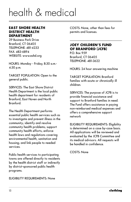## health & medical

#### **EAST SHORE HEALTH DISTRICT HEALTH DEPARTMENT**

29 Business Park Drive Branford, CT 06405 TELEPHONE: 481-4233 FAX: 483-6894 WEBSITE: www.eshd.org

HOURS: Monday - Friday, 8:30 a.m.- 4:30 p.m.

TARGET POPULATION: Open to the general public.

SERVICES: The East Shore District Health Department is the local public health department for residents of Branford, East Haven and North Branford.

The Health Department performs essential public health services such as to investigate and prevent illness in the community; identify and resolve community health problems; support community health efforts; enforce health laws and regulations covering environmental health, sanitation and housing; and link people to needed services.

Public health services to participating towns are offered directly to residents by the health district staff or indirectly by district-sponsored public health programs.

ELIGIBILITY REQUIREMENTS: None

COSTS: None, other than fees for permits and licenses.

#### **JOEY CHILDREN'S FUND OF BRANFORD (JCFB)**

P.O. Box 959 Branford, CT 06405 TELEPHONE: 481-3622

HOURS: 24 hour answering machine

TARGET POPULATION: Branford families with acute or chronically ill children.

SERVICES: The purpose of JCFB is to provide financial assistance and support to Branford families in need. The Fund offers assistance in paying non-reimbursed medical expenses and offers a comprehensive support network

ELIGIBILITY REQUIREMENTS: Eligibility is determined on a case by-case basis. All applications will be reviewed and evaluated by the JCFB Committee and its medical advisors. All requests will be handled in confidence.

COSTS: None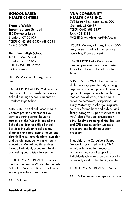#### **SCHOOL BASED HEALTH CENTERS**

#### **Francis Walsh Intermediate School**

185 Damascus Road Branford, CT 06405 TELEPHONE: 488-3533/488-3534 FAX: 315-7094

#### **Branford High School**

185 East Main Street Branford, CT 06405 TELEPHONE: 488-6727 FAX: 488-6728

HOURS: Monday - Friday, 8 a.m.- 3:30 p.m.

TARGET POPULATION: Middle school students at Francis Walsh Intermediate School and high school students at Branford High School.

SERVICES: The School Based Health Centers provide comprehensive services during school hours to students at the Walsh Intermediate School and Branford High School. Services include physical exams, diagnosis and treatment of acute and chronic illness, immunizations, nutrition and weight management and health education. Mental health services include individual, group and family counseling and crisis intervention.

ELIGIBILITY REQUIREMENTS: Enrollment at the Francis Walsh Intermediate School or Branford High School and a signed parental consent form.

#### **VNA COMMUNITY HEALTH CARE INC.**

753 Boston Post Road, Suite 200 Guilford, CT 06437 TELEPHONE: 488-8357 FAX: 458-4388 WEBSITE: www.branfordVNA.com

HOURS: Monday - Friday, 8 a.m.- 5:00 p.m., nurse on call 24 hour service available, 7 days a week

TARGET POPULATION: Anyone needing professional care or assistance for all kinds of medical situations.

SERVICES: The VNA offers in-home skilled nursing, private duty nursing, psychiatric nursing, physical therapy, speech therapy, occupational therapy, medical social work, home health aides, homemakers, companions, an Early Maternity Discharge Program, services for mothers and babies, and family caregiver support services. The VNA also offers an immunization clinic, health screening clinics, first aid and CPR classes, senior wellness programs and health education programs.

In addition, the Caregivers Support Network, sponsored by the VNA, provides information, resources, programs and social support for individuals who are providing care for an elderly or disabled family member.

ELIGIBILITY REQUIREMENTS: None

COSTS: Dependent on type and scope

COSTS: None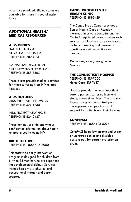of service provided. Sliding scales are available for those in need of assistance.

#### **ADDITIONAL HEALTH/ MEDICAL RESOURCES**

#### **AIDS CLINICS**

HAFI FN CENTER AT ST. RAPHAEL'S HOSPITAL TELEPHONE: 789-4135

NATHAN SMITH CLINIC AT YALE-NEW HAVEN HOSPITAL TELEPHONE: 688-5303

These clinics provide medical services for those suffering from HIV-related illnesses.

#### **AIDS HOTLINES**

AIDS INTERFAITH NETWORK TELEPHONE: 624-4350

AIDS PROJECT NEW HAVEN TELEPHONE: 624-2437

These hotlines provide anonymous, confidential information about healthrelated issues including HIV

#### **BIRTH TO THREE**

TELEPHONE: 1-800-505-7000

This statewide early intervention program is designed for children from birth to 36 months who are experiencing developmental delays. Services include home visits, physical and occupational therapy and parent support.

#### **CANOE BROOK CENTER HEALTH CLINIC**

TELEPHONE: 481-3429

The Canoe Brook Center provides a Senior Health Clinic on Monday mornings. In private consultation, the Center's registered nurse provides such services as blood pressure monitoring, diabetic screening and answers to questions about medications and illnesses.

Please see primary listing under Seniors.

#### **THE CONNECTICUT HOSPICE**

TELEPHONE: 315-7500 Home Care: 315-7687

Hospice provides home or in-patient care to patients suffering from end stage, irreversible illness. The program focuses on symptom control, pain management, and psycho-social support for patients and their families.

#### **CONNPACE**

TELEPHONE: 1-800-423-5026

ConnPACE helps low income and under or uninsured senior and disabled persons pay for certain prescription drugs.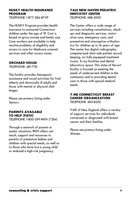#### **HUSKY HEALTH INSURANCE PROGRAM**

TELEPHONE: 1-877-284-8759

The HUSKY Program provides health insurance to uninsured Connecticut children under the age of 19. Cost is based on gross income and family size. Case workers are available to help resolve problems of eligibility and access to care for Medicare covered services and other access issues.

#### **ORCHARD HOUSE**

TELEPHONE: 481-7110

The facility provides therapeutic assistance and social activities for frail elderly and chronically ill adults and those with mental or physical challenges.

Please see primary listing under Seniors.

#### **PARENTS AVAILABLE TO HELP (PATH)** TELEPHONE: 1-800-399-PATH (7284)

Through a network of parents in similar situations, PATH offers outreach, support and resources to parents of premature babies and children with special needs, as well as to those who have lost a young child

or endured a high-risk pregnancy.

#### **YALE NEW HAVEN PEDIATRIC DENTISTRY CENTER**

TELEPHONE: 688-3000

The Center offers a wide range of services including consultations, checkups and diagnostic services, restorative care, emergency care, and preventive and interceptive orthodontics for children up to 16 years of age. The center has digital radiography, computerized chair-side patient record keeping, six fully equipped treatment rooms, X-ray facilities and dental laboratory space .This state-of-the-art facility is focused on meeting the needs of underserved children in the community and to providing dental care to those with special medical needs.

#### **Y-ME CONNECTICUT BREAST CANCER ORGANIZATION** TELEPHONE: 483-8200

Y-ME of New England offers a variety of support services for individuals concerned or diagnosed with breast cancer and their families.

Please see primary listing under Women.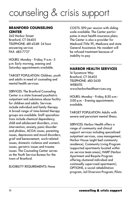### counseling & crisis support

#### **BRANFORD COUNSELING CENTER**

342 Harbor Street Branford, CT 06405 TELEPHONE: 481-4248- 24 hour answering service FAX: 483-7727

HOURS: Monday - Friday, 9 a.m.- 5 p.m. Early morning, evening and Saturday appointments available.

TARGET POPULATION: Children, youth and adults in need of counseling and mental health services.

SERVICES: The Branford Counseling Center is a state licensed psychiatric outpatient and substance abuse facility for children and adults. Services include individual and family therapy. A broad range of time-limited therapy groups are available. Staff specializations include chemical dependency, child and adolescent disorders, crisis intervention, anxiety, panic disorder and phobias, ACOA issues, parenting issues, depression and mood disorders, grief and bereavement, work-related issues, domestic violence and women's issues, geriatric issues and trauma issues. The Counseling Center serves as the Youth Service Bureau for the town of Branford.

#### ELIGIBILITY REQUIREMENTS: None

COSTS: \$90 per session with sliding scale available. The Center participates in most health insurance plans. The Center is also a provider for Medicaid (Title 19), Medicare and state General Assistance. No resident will be refused treatment because of inability to pay.

#### **HARBOR HEALTH SERVICES**

14 Sycamore Way Branford, CT 06405 TELEPHONE: 483-2630 WEBSITE: www.harborhealthservices.org

HOURS: Monday - Friday, 8:30 a.m.- 5:00 p.m. - Evening appointments available.

TARGET POPULATION: Adults with severe and persistent mental illness.

SERVICES: Harbor Health offers a range of community and clinical support services including specialized outpatient services, case management, Harbor House (eight bed community residence), Community Living Program (supported apartments located within six service team areas), HARP (Harbor Apartment and Respite Program offering clustered individual and continually supervised apartments), OPTIONS, a social rehabilitation program, Jail Diversion Program, Pilots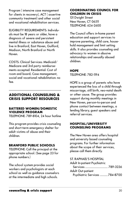Program ( intensive case management for clients in recovery), ACT ( assertive community treatment) and other social and vocational rehabilitation services.

ELIGIBILITY REQUIREMENTS: Individuals must be 18 years or older, have a diagnosis of severe and persistent mental illness or substance abuse and live in Branford, East Haven, Guilford, Madison, North Branford or North Haven.

COSTS: Clinical Services: Medicaid/ Medicare and 3rd party reimbursements accepted. Residential: Cost of room and board; Case management, social and vocational rehabilitation: no fee.

#### **ADDITIONAL COUNSELING & CRISIS SUPPORT RESOURCES**

#### **BATTERED WOMEN/DOMESTIC VIOLENCE PROGRAM**

TELEPHONE: 789-8104, 24 hour hotline

This program provides crisis counseling and short-term emergency shelter for adult victims of abuse and their children.

#### **BRANFORD PUBLIC SCHOOLS**

TELEPHONE: Call the principal at the appropriate school. (See page 23 for phone numbers.)

The school system provides social workers and psychologists at each school as well as guidance counselors at the intermediate and high schools.

#### **COORDINATING COUNCIL FOR CHILDREN IN CRISIS**

131 Dwight Street New Haven, CT 06511 TELEPHONE: 624-2600

The Council offers in-home parent education and support services to improve parenting, child care, household management and limit setting skills. It also provides counseling and advocacy to women in abusive relationships and sexually abused children.

#### **HOPE**

TELEPHONE: 782-1194

HOPE is a group of parents who have experienced the loss of a child through miscarriage, still birth, neo-natal death or other cause. The group provides support during monthly meetings in New Haven, person-to-person and phone contact between meetings, a lending library, guest speakers and referral services.

#### **HOSPITAL/UNIVERSITY COUNSELING PROGRAMS**

The New Haven area offers hospital and university based counseling programs. For further information about the scope of their services, please call them directly.

| ST. RAPHAEL'S HOSPITAL        |
|-------------------------------|
| Adult In-patient Psychiatric  |
|                               |
| Adult Out-patient             |
| Psychiatric Services 784-8700 |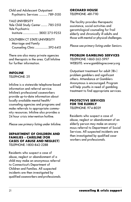Child and Adolescent Outpatient Psychiatric Services ............. 789-5150

YALE UNIVERSITY Yale Child Study Center .......... 785-2513 Yale Psychiatric Institute ........................ (800) 275-9253

SOUTHERN CT STATE UNIVERSITY Marriage and Family Counseling Clinic ....................392-6415

There are also many private agencies and therapists in the area. Call Infoline for further information.

#### **INFOLINE**

TELEPHONE: 211

Infoline is a statewide telephone-based information and referral service. Infoline's professional caseworkers provide up-to-date information about locally available mental health/ counseling agencies and programs and make referrals to appropriate community resources. Infoline also provides a 24 hour crisis intervention hotline.

Please see primary listing under Infoline.

#### **DEPARTMENT OF CHILDREN AND FAMILIES - CARELINE (FOR CASES OF ABUSE AND NEGLECT)**

TELEPHONE: 1-800-842-2288

Residents who suspect a case of abuse, neglect or abandonment of a child may make an anonymous referral to Connecticut's Department of Children and Families. All suspected incidents are then investigated by qualified caseworkers and professionals. **ORCHARD HOUSE**

TELEPHONE: 481-7110

The facility provides therapeutic assistance, social activities and gerontological counseling for frail elderly and chronically ill adults and those with mental or physical challenges.

Please see primary listing under Seniors.

#### **PROBLEM GAMBLING SERVICES**

TELEPHONE: 1-860-262-5997 WEBSITE: www.gamblingrecovery.org

Outpatient treatment for adult (18+) problem gamblers and significant others. Attendance at Gamblers Anonymous is encouraged. Program will help youths in need of gambling treatment to find appropriate services.

#### **PROTECTIVE SERVICES FOR THE ELDERLY** TELEPHONE: 974-8029

Residents who suspect a case of abuse, neglect or abandonment of an elderly person may make an anonymous referral to Department of Social Services. All suspected incidents are then investigated by qualified caseworkers and professionals.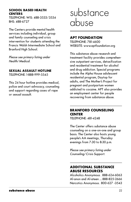#### **SCHOOL BASED HEALTH CENTERS**

TELEPHONE: WIS: 488-3533/3534 BHS: 488-6727

The Centers provide mental health services including individual, group and family counseling and crisis intervention for students attending the Francis Walsh Intermediate School and Branford High School.

Please see primary listing under Health/Medical.

#### **SEXUAL ASSAULT HOTLINE**

TELEPHONE: 1-888-999-5545

This 24 hour hotline provides medical, police and court advocacy, counseling and support regarding cases of rape or sexual assault.

### substance abuse

#### **APT FOUNDATION**

TELEPHONE: 781-4600 WEBSITE: www.aptfoundation.org

This substance abuse research and treatment facility provides comprehensive outpatient services, detoxification and residential treatment for alcohol and drug addiction. Special programs include the Alpha House adolescent residential program, Daytop for adults, and The Mother's Project for pregnant and postpartum women addicted to cocaine. APT also provides an employment center for people recovering from substance abuse.

#### **BRANFORD COUNSELING CENTER**

TELEPHONE: 481-4248

The Center offers substance abuse counseling on a one-on-one and group basis. The Center also hosts young people's AA meetings, Thursday evenings from 7:30 to 8:30 p.m.

Please see primary listing under Counseling/Crisis Support.

#### **ADDITIONAL SUBSTANCE ABUSE RESOURCES**

Alcoholics Anonymous . 888-624-6063 Al-anon and Al-ateen .... 888-825-2666 Narcotics Anonymous. 800-627 -3543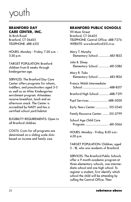### youth

#### **BRANFORD DAY CARE CENTER, INC.**

16 Birch Road Branford, CT 06405 TELEPHONE: 488-4512

HOURS: Monday - Friday, 7:30 a.m. - 5:30 p.m.

TARGET POPULATION: Branford children from 8 weeks through kindergarten age.

SERVICES: The Branford Day Care Center offers programs for infants, toddlers, and preschoolers aged 3-5 as well as an After Kindergarten enrichment program. Attendees receive breakfast, lunch and an afternoon snack. The Center is accredited by NAEY and has a certified school yard habitat.

ELIGIBILITY REQUIREMENTS: Open to all Branford children.

COSTS: Costs for all programs are determined on a sliding scale slots based on income and family size.

#### **BRANFORD PUBLIC SCHOOLS**

1111 Main Street Branford, CT 06405 TELEPHONE: Central Office: 488-7276 WEBSITE: www.branford.k12.ct.us

| Mary T. Murphy<br>Elementary School:  483-1832 |  |
|------------------------------------------------|--|
| John B. Sliney<br>Elementary School  481-5386  |  |
| Mary R. Tisko<br>Elementary School  483-1826   |  |
| Francis Walsh Intermediate                     |  |
| Branford High School:  488-7291                |  |
| Pupil Services:  488-5000                      |  |
| Early Years Center:  315-3540                  |  |
| Family Resource Center:  315-3799              |  |
| School Age Child Care                          |  |

HOURS: Monday - Friday, 8:30 a.m.- 4:30 p.m.

TARGET POPULATION: Children, aged 5 - 18, who are residents of Branford.

SERVICES: The Branford Public Schools offer a 9 month academic program at three elementary schools, one intermediate school and one high school. To register a student, first identify which school the child will be attending by calling the Central Office. Then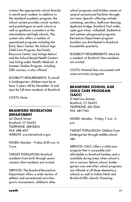contact the appropriate school directly to enroll each student. In addition to the standard academic program, the school system provides social workers and psychologists at each school as well as guidance counselors at the intermediate and high schools. The system also offers a number of specialized programs including the Early Years Center, the School Age Child Care Program, the Family Resource Center (see listings below) and the School Based Health Centers (see listing under Health/Medical). A Summer Studies Program, including GED courses, is also offered.

ELIGIBILITY REQUIREMENTS: To enroll in kindergarten, children must be at least 5 years old by December 31 and must be full-time residents of Branford.

COSTS: None

#### **BRANFORD RECREATION DEPARTMENT**

46 Church Street Branford, CT 06405 TELEPHONE: 488-8304 FAX: 488-4017 WEBSITE: www.branford-ct.gov

HOURS: Monday - Friday, 8:30 a.m. to 5 p.m.

TARGET POPULATION: Branford residents from birth through senior citizens. Non-residents are invited.

SERVICES: The Branford Recreation Department offers a wide variety of athletic and recreational activities, sports tournaments, children's after

school programs and holiday events at several recreational facilities throughout town. Specific offerings include swimming, aerobics, ballroom dancing, duplicate bridge, Branford Trail walks, open gym times, volleyball, badminton and summer playground programs. Recreation Department program booklets are distributed to Branford households quarterly.

ELIGIBILITY REQUIREMENTS: Must be a resident of Branford. Non-residents are invited.

COSTS: Nominal fees associated with some activities/programs.

#### **BRANFORD SCHOOL AGE CHILD CARE PROGRAM (SACC)**

12 Melrose Avenue Branford, CT 06405 TELEPHONE: 481-5066 FAX: 481-7160

HOURS: Monday - Friday, 7 a.m.- 6 p.m.

TARGET POPULATION: Children from kindergarten through middle-school age.

SERVICES: SACC offers a child care program that is accessible and affordable to Branford families and is available during times when school is not in session. Before school, kindergarten care and after school programs are offered at all three elementary schools as well as Indian Neck and Branford Hills schools. Parenting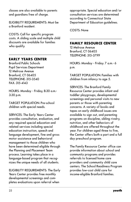classes are also available to parents and guardians free of charge.

ELIGIBILITY REQUIREMENTS: Must be a Branford resident.

COSTS: Call for specific program costs. A sliding scale and multiple child discounts are available for families who qualify.

#### **EARLY YEARS CENTER**

Branford Public Schools Pupil Services Department 12 Melrose Avenue Branford, CT 06405 TELEPHONE: 315-3540 FAX: 315-4143

HOURS: Monday - Friday, 8:30 a.m.- 3:30 p.m.

TARGET POPULATION: Pre-school children with special needs.

SERVICES: The Early Years Center provides consultation, evaluation, and any required special education and related services including special education instruction, speech and language development, fine and gross motor assistance and behavioral management to those children who have been determined eligible through the Planning and Placement Team process. Learning takes place in a language-based program that recognizes the unique needs of all students.

ELIGIBILITY REQUIREMENTS: The Early Years Center provides free monthly developmental screenings and completes evaluations upon referral when

appropriate. Special education and/or consultation services are determined according to Connecticut State Department of Education guidelines.

COSTS: None

#### **FAMILY RESOURCE CENTER**

12 Melrose Avenue Branford, CT 06405 TELEPHONE: 315-3799

HOURS: Monday - Friday. 7 a.m.- 6 p.m.

TARGET POPULATION: Families with children from infancy to age 5.

SERVICES: The Branford Family Resource Center provides infant and toddler playgroups, developmental screenings and personal visits to new parents or those with parenting concerns. A variety of books and tapes on early childhood issues are available to sign out, and parenting programs on discipline, sibling rivalry, nutrition, and other behaviors of childhood are offered throughout the year. For children aged three to five, the Center offers both a part and a full day preschool program.

The Family Resource Center office can provide information about school and community programs and provides referrals to licensed home care providers and community child care centers. The School Readiness Program provides low-cost child care for income-eligible Branford families.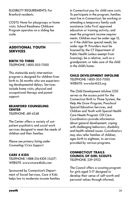ELIGIBILITY REQUIREMENTS: For Branford residents.

COSTS: None for playgroups or home visits. School Readiness Childcare Program operates on a sliding fee scale.

#### **ADDITIONAL YOUTH SERVICES**

#### **BIRTH TO THREE**

TELEPHONE: 1-800-505-7000

This statewide early intervention program is designed for children from birth to 36 months who are experiencing developmental delays. Services include home visits, physical and occupational therapy and parent support.

#### **BRANFORD COUNSELING CENTER**

TELEPHONE: 481-4248

The Center offers a variety of outpatient psychiatric and social work services designed to meet the needs of children and their families.

Please see primary listing under Counseling/Crisis Support.

#### **CARE 4 KIDS**

TELEPHONE: 1-888-214-KIDS (5437) WEBSITE: www.ctcare4kids.com

Sponsored by Connecticut's Department of Social Services, Care 4 Kids helps low to moderate income families

in Connecticut pay for child care costs. To participate in the program, families must live in Connecticut; be working or attending a temporary family cash assistance (Jobs First) approved education or training activity; and meet the program's income requirements. Children must be under age 13, or if the child has special needs, be under age 19. Providers must be licensed by the CT Department of Public Health (unless exempt from licensing); be a relative, such as a grandparent; or take care of the child in the child's home.

#### **CHILD DEVELOPMENT INFOLINE**

TELEPHONE: 1-800-505-7000 WEBSITE: www.birth23.org

The Child Development Infoline (CDI) serves as the access point for the Connecticut Birth to Three System, the Help Me Grow Program, Preschool Special Education Services, and Children and Youth with Special Health Care Needs Program. CDI Care Coordinators provide information about general development, coping with challenging behaviors, disability and health related issues. Coordinators may also refer families of children, ages birth to eighteen, to services provided by various programs.

#### **CONNECTICUT TRAILS COUNCIL OF GIRL SCOUTS** TELEPHONE: 239-2922

The Council offers a scouting program for girls aged 5-17 designed to develop their sense of self-worth and personal values through informal,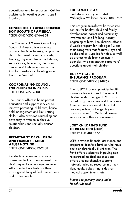educational and fun programs. Call for assistance in locating scout troops in Branford.

#### **CONNECTICUT YANKEE COUNCIL BOY SCOUTS OF AMERICA**

TELEPHONE: 1-203-876-6868

The Connecticut Yankee Council Boy Scouts of America is a scouting program for boys focusing on positive character development, citizenship training, physical fitness, confidence, self-reliance, teamwork, decisionmaking and lifetime leadership skills. Call for assistance in locating scout troops in Branford.

#### **COORDINATING COUNCIL FOR CHILDREN IN CRISIS** TELEPHONE: 624-2600

The Council offers in-home parent education and support services to improve parenting, child care, household management and limit setting skills. It also provides counseling and advocacy to women in abusive relationships and sexually abused children.

#### **DEPARTMENT OF CHILDREN AND FAMILIES - CHILD ABUSE HOTLINE**

TELEPHONE: 1-800-842-2288

Residents who suspect a case of abuse, neglect or abandonment of a child may make an anonymous referral. All suspected incidents are then investigated by qualified caseworkers and professionals.

#### **THE FAMILY PLACE**

Blackstone Library: 488-1441 Willoughby Wallace Library: 488-8702

This program transforms libraries into centers for healthy child and family development, parent and community involvement, and life-long literacy beginning at birth. The libraries offer a 5-week program for kids ages 1-3 and their caregivers that features toys and books and art supplies for kids, as well as professionals from community agencies who can answer caregivers' questions about their children

#### **HUSKY HEALTH INSURANCE PROGRAM** TELEPHONE: 1-877-284-8759

The HUSKY Program provides health insurance for uninsured Connecticut children under the age of 19. Cost is based on gross income and family size. Case workers are available to help resolve problems of eligibility and access to care for Medicaid covered services and other access issues.

#### **JOEY CHILDREN'S FUND OF BRANFORD (JCFB)** TELEPHONE: 481-3622

JCFB provides financial assistance and support to Branford families who have acute or chronically ill children. The Fund offers assistance in paying nonreimbursed medical expenses and offers a comprehensive support network including resource information, meals, babysitting, rides for medical appointments, etc.

Please see primary listing under Health/Medical.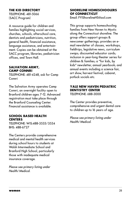#### **THE KID DIRECTORY**

TELEPHONE: 481-5066 (SACC Program)

A resource guide for children and families highlighting social services, churches, schools, afterschool care, dentists and pediatricians, nutrition, general health, financial assistance, language assistance, and entertainment. Copies can be obtained at the SACC program, libraries, pediatrician offices, and Town Hall.

#### **SALVATION ARMY, CAMP CONNRI**

TELEPHONE: 481-4248, ask for Camp Connri

The Salvation Army operates Camp Connri, an overnight facility open to Branford children ages 7-12. Advanced registration must take place through the Branford Counseling Center. Financial assistance is available.

#### **SCHOOL BASED HEALTH CENTERS**

TELEPHONE: WIS:488-3533/3534 BHS: 488-6727

The Centers provide comprehensive medical and mental health services during school hours to students at Walsh Intermediate School and Branford High School, particularly those with inadequate medical insurance coverage.

Please see primary listing under Health/Medical.

#### **SHORELINE HOMESCHOOLERS OF CONNECTICUT**

Email: FYIShorelineHS@aol.com

This group supports homeschooling families from New Haven to Mystic along the Connecticut shoreline. The group offers support groups & newcomer gatherings; provides an email newsletter of classes, workshops, fieldtrips, legislative news, curriculum swaps; discounted educator cards; inclusion in year-long theater series for children & families; a "for kids, by kids" newsletter, annual yearbook; and annual events including a science fair, art show, harvest festival, cabaret, potluck socials etc.

#### **YALE NEW HAVEN PEDIATRIC DENTISTRY CENTER** TELEPHONE: 688-3000

The Center provides preventive, comprehensive and urgent dental care to children up to 16 years of age.

Please see primary listing under Health/Medical.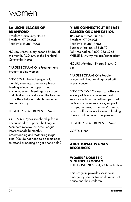### women

#### **LA LECHE LEAGUE OF BRANFORD**

Branford Community House Branford, CT 06405 TELEPHONE: 483-8005

HOURS: Meets every second Friday of the month, 9:30 a.m. at the Branford Community House.

TARGET POPULATION: Pregnant and breast-feeding women.

SERVICES: La Leche League holds monthly meetings to enhance breast feeding education, support and encouragement. Meetings are casual and children are welcome. The League also offers help via telephone and a lending library.

ELIGIBILITY REQUIREMENTS: None

COSTS: \$30/year membership fee is encouraged to support the League. Members receive La Leche League International's bi-monthly breastfeeding and mothering magazine. (You do not need to be a member to attend a meeting or get phone help.)

#### **Y-ME CONNECTICUT BREAST CANCER ORGANIZATION**

1169 Main Street, Suite B-3 Branford, CT 06405 TELEPHONE: 483-8200 Business/fax line: 488-5670 Toll-free hotline: 1-800-933-4963 WEBSITE: www.y-me.org/connecticut

HOURS: Monday - Friday, 9 a.m.- 5 p.m.

TARGET POPULATION: People concerned about or diagnosed with breast cancer.

SERVICES: Y-ME Connecticut offers a variety of breast cancer support services including a hotline operated by breast cancer survivors, support groups, lectures, a speakers' bureau, breast self-exam workshops, a lending library and an annual symposium.

ELIGIBILITY REQUIREMENTS: None

COSTS: None

#### **ADDITIONAL WOMEN RESOURCES**

#### **WOMEN/ DOMESTIC VIOLENCE PROGRAM**

TELEPHONE: 789-8104, 24 hour hotline

This program provides short-term emergency shelter for adult victims of abuse and their children.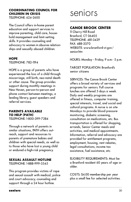#### **COORDINATING COUNCIL FOR CHILDREN IN CRISIS**

TELEPHONE: 624-2600

The Council offers in-home parent education and support services to improve parenting, child care, household management and limit-setting skills. It provides counseling and advocacy to women in abusive relationships and sexually abused children.

#### **HOPE**

TELEPHONE: 782-1194

HOPE is a group of parents who have experienced the loss of a child through miscarriage, still birth, neo-natal death or other cause. The group provides support during monthly meetings in New Haven, person-to-person and phone contact between meetings, a lending library, guest speakers and referral services.

#### **PARENTS AVAILABLE TO HELP (PATH)** TELEPHONE: 1-800-399-7284

Through a network of parents in similar situations, PATH offers outreach, support and resources to parents of premature babies and children with special needs, as well as to those who have lost a young child or endured a high-risk pregnancy.

#### **SEXUAL ASSAULT HOTLINE** TELEPHONE: 1-888-999-5545

This program provides victims of rape and sexual assault with medical, police and court advocacy, counseling and support through a 24 hour hotline.

### seniors

#### **CANOE BROOK CENTER**

11 Cherry Hill Road Branford, CT 06405 TELEPHONE: 481-3429 FAX: 488-3370 WEBSITE: www.branford-ct.gov/ senior.htn

HOURS: Monday - Friday, 9 a.m.- 5 p.m.

TARGET POPULATION: Branford's senior citizens

SERVICES: The Canoe Brook Center offers a broad variety of services and programs for seniors. Full course lunches are offered 5 days a week. Daily and weekly programs are offered in fitness, computer training, special interests, travel, and social and cultural programs. A nurse is on site Mondays to provide blood pressure monitoring, diabetic screening, consultation on medications, etc. Bus transportation is offered for shopping, errands, Senior Center meals and activities, and medical appointments. Information, referral and advocacy are provided for entitlement programs, employment, housing, rent rebates, legal consultations, income tax assistance, fuel assistance, etc.

ELIGIBILITY REQUIREMENTS: Must be a Branford resident 60 years of age or older.

COSTS: \$4.00 membership per year plus a small fee for selected activities.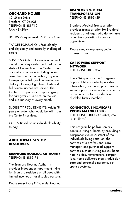#### **ORCHARD HOUSE**

421 Shore Drive Branford, CT 06405 TELEPHONE: 481-7110 FAX: 481-2064

HOURS: 7 days a week, 7:30 a.m.- 4 p.m.

TARGET POPULATION: Frail elderly and physically and mentally challenged adults.

SERVICES: Orchard House is a medical model adult day center certified by the state of Connecticut. The Center offers a variety of services including nursing care, therapeutic recreation, physical therapy, gerontological counseling and dietary planning. Light breakfasts and full course lunches are served. The Center also sponsors a support group for caregivers 10:30 a.m. on the 2nd and 4th Tuesday of every month.

ELIGIBILITY REQUIREMENTS: Adults 18 years or older who would benefit from the Center's services.

COSTS: Based on an individual's ability to pay.

#### **ADDITIONAL SENIOR RESOURCES**

#### **BRANFORD HOUSING AUTHORITY**

TELEPHONE: 481-3194

The Branford Housing Authority provides independent apartment living for Branford residents of all ages with limited incomes or for disabled persons.

Please see primary listing under Housing.

#### **BRANFORD MEDICAL TRANSPORTATION**

TELEPHONE: 481-3429

Branford Medical Transportation provides transportation for Branford residents of all ages who do not have other transportation to doctors' appointments.

Please see primary listing under Transportation.

#### **CAREGIVERS SUPPORT NETWORK** TELEPHONE: 488-8357

The VNA sponsors the Caregivers Support Network which provides information, resources, programs and social support for individuals who are providing care for an elderly or disabled family member.

#### **CONNECTICUT HOMECARE PROGRAM FOR ELDERS**

TELEPHONE: 1-800-445-5394, 752- 3040 (local)

This program helps frail seniors continue living at home by providing a comprehensive assessment of the individual's living situation; the services of a professional care manager; and purchased support services such as visiting nurses, home health aides, homemakers, companions, home delivered meals, adult day care and personal emergency response systems.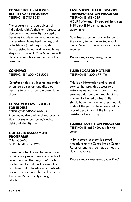#### **CONNECTICUT STATEWIDE RESPITE CARE PROGRAM**

TELEPHONE: 785-8533

The program offers caregivers of individuals with Alzheimer's disease or dementia an opportunity for respite. Services include in-home (companions, homemakers, home health aides) and out-of-home (adult day care, short term assisted living, and nursing home stays) assistance. A Care Manager will develop a suitable care plan with the caregiver.

#### **CONNPACE**

TELEPHONE: 1-800-423-5026

ConnPace helps low income and under or uninsured seniors and disabled persons to pay for certain prescription drugs.

#### **CONSUMER LAW PROJECT FOR ELDERS**

TELEPHONE: 1-800-296-1467 Provides advice and legal representation in cases of consumer/medical debt and identity theft.

#### **GERIATRIC ASSESSMENT PROGRAMS**

Yale: 688-6361 St. Raphael's: 789-4222

These outpatient consultative services provide comprehensive assessments of older persons. The programs' goals are to identify and treat correctable problems and to locate and coordinate community resources that will optimize the patient's and family's living situation.

#### **EAST SHORE HEALTH DISTRICT TRANSPORTATION PROGRAM**

TELEPHONE: 481-4235 HOURS: Monday - Friday, call between 8:30 a.m.- 11:30 p.m. to make an appointment.

Volunteers provide transportation for the elderly to health-related appointments. Several days advance notice is required.

Please see primary listing under Transportation.

#### **ELDER LOCATOR HOTLINE**

TELEPHONE: 1-800-677-1116

This is an information and referral service that provides access to an extensive network of organizations serving older people throughout the continental United States. Callers should have the name, address and zip code of the person being assisted and a brief description of the type of assistance being sought.

#### **ELDERLY NUTRITION PROGRAM**

TELEPHONE: 481-3429, ask for Hot Lunch

A full course luncheon is served weekdays at the Canoe Brook Center. Reservations must be made at least a day in advance.

Please see primary listing under Food.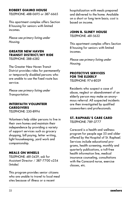#### **ROBERT GIAIMO HOUSE**

TELEPHONE: 488-0695 or 387-6665

This apartment complex offers Section 8 housing for seniors with limited incomes.

Please see primary listing under Housing.

#### **GREATER NEW HAVEN TRANSIT DISTRICT/MY RIDE** TELEPHONE: 288-6282

The Greater New Haven Transit District provides rides for permanently or temporarily disabled persons who are unable to use the fixed route bus service.

Please see primary listing under Transportation.

#### **INTERFAITH VOLUNTEER CAREGIVERS**

TELEPHONE: 230-8994

Volunteers help older persons to live in their own homes and maintain their independence by providing a variety of support services such as grocery shopping, bill paying, letter writing, light housekeeping, yard work and companionship.

#### **MEALS ON WHEELS**

TELEPHONE: 481-3429, ask for Assistant Director / 387-7700 x254 (Intake)

This program provides senior citizens who are unable to travel to local meal sites because of illness or a recent

hospitalization with meals prepared and delivered to the home. Available on a short or long term basis; cost is based on income.

#### **JOHN B. SLINEY HOUSE**

TELEPHONE: 481-5632

This apartment complex offers Section 8 housing for seniors with limited incomes.

Please see primary listing under Housing.

#### **PROTECTIVE SERVICES FOR THE ELDERLY**

TELEPHONE: 974-8029

Residents who suspect a case of abuse, neglect or abandonment of an elderly person may make an anonymous referral. All suspected incidents are then investigated by qualified caseworkers and professionals.

### **ST. RAPHAEL'S CARE CARD**

TELEPHONE: 789-3777

Carecard is a health and wellness program for people age 55 and older offered by the Hospital of St. Raphael. Services include educational programs, health screening, monthly and quarterly publications, a toll-free health information line, medical insurance counseling, consultations with the Carecard nurse, exercise classes, etc.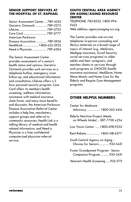#### **SENIOR SUPPORT SERVICES AT THE HOSPITAL OF ST. RAPHAEL**

| Senior Assessment Center  789-4333 |  |
|------------------------------------|--|
| Geriatric Outreach  789-3275       |  |
|                                    |  |
|                                    |  |
| American Parkinson                 |  |
| Disease Association  789-3936      |  |
| HealthLink  1-800-622-5922         |  |
| Need a Physician 789-4304          |  |

The Senior Assessment Center provides assessments of a senior's health status and options; Geriatric Outreach provides such services as a telephone hotline, emergency room follow-up, and educational information and consultation; LifeLine offers a 2 hour personal security program; Care Card offers its members health screening, wellness information, assistance with medical insurance claim forms, and many more benefits and discounts; the American Parkinson Disease Association Referral Center includes a help line, newsletters, support groups and referral to community resources; Health Link is a talking library of medical and health related information; and Need a Physician is a free confidential computerized physician referral service.

#### **SOUTH CENTRAL AREA AGENCY ON AGING/AGING RESOURCE CENTER**

TELEPHONE: 785-8533, 1-800-994- 9422

Web address: agencyonaging-scc.org

The Center provides one-on-one telephone/in-person counseling and library materials on a broad range of topics of interest (e.g., Medicare, Medigap insurance, Social Security, social services programs) to older adults and their caregivers, and matches clients to services through such programs as CHOICES (health insurance assistance), Medi\$ave, Home Share Match, and Home Care for the Elderly and Respite Care Management programs.

#### **OTHER HELPFUL NUMBERS**

| <b>Center for Medicare</b><br>Advocacy  1-800-262-4414                      |
|-----------------------------------------------------------------------------|
| <b>Elderly Nutrition Project (Meals</b><br>on Wheels Intake)  387-7700 x254 |
| Low Vision Center  1-800-698-9253                                           |
| Rent Rebate  1-860-418-6377                                                 |
| South Central Agency on Aging -<br>Choices for Seniors  933-5431            |
| Foster Grandparent Program - Senior<br>Companion Program  933-5431          |
| Veteran's Health Screening  932-5711                                        |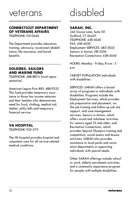### veterans

#### **CONNECTICUT DEPARTMENT OF VETERANS AFFAIRS**

TELEPHONE: 931-0460

The Department provides education, training, advocacy, vocational rehabilitation, life insurance, and burial benefits.

#### **SOLDIERS, SAILORS AND MARINE FUND**

TELEPHONE: 488-8874 (local representative),

American Legion Post #83: 488-9253 This fund provides temporary assistance to those low income veterans and their families who demonstrate need for food, clothing, medical aid, shelter, utility bills and temporary financial service.

#### **VA HOSPITAL**

TELEPHONE: 932-5711

The VA hospital provides hospital and outpatient care for all service-related medical conditions.

## disabled

#### **SARAH, INC.**

246 Goose Lane, Suite 101 Guilford, CT 06437 TELEPHONE: 458-4040 FAX: 458-4050 Employment SERVICES: 483-3033 Seniors in Action: 318-5206 Recreation Connections: 458-4040

HOURS: Monday - Friday, 8 a.m.- 5 p.m.

TARGET POPULATION: Individuals with disabilities

SERVICES: SARAH offers a broad array of programs to individuals with disabilities. Programs include the Employment Services, which provides job preparation and placement, onthe-job training and follow-up job site support, and case management services; Seniors in Action, which offers social and volunteer activities for seniors aged 55 and older; and Recreation Connections, which provides Special Olympics training and competition, social events and leisure activities. SARAH also provides assistance to local parks and recreation departments in supporting individuals with special needs.

Other SARAH offerings include school to work, elderly enrichment activities, and a community experience program for people with multiple disabilities.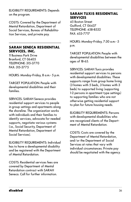ELIGIBILITY REQUIREMENTS: Depends on the program.

COSTS: Covered by the Department of Mental Retardation, Department of Social Services, Bureau of Rehabilitation Services, and private pay.

#### **SARAH SENECA RESIDENTIAL SERVICES, INC.**

11 Business Park Drive Branford, CT 06405 TELEPHONE: 315-3770 FAX: 315-3775

HOURS: Monday-Friday, 8 a.m.- 5 p.m.

TARGET POPULATION: People with developmental disabilities and their families.

SERVICES: SARAH Seneca provides residential support services to people in group settings and apartments along the shoreline. The organization works with individuals and their families to identify services, advocate for needed supports, negotiate various systems (i.e., Social Security, Department of Mental Retardation, Department of Social Services).

ELIGIBILITY REQUIREMENTS: Individual has to have a developmental disability and be registered with the Department of Mental Retardation.

COSTS: Residential services fees are covered by Department of Mental Retardation contract with SARAH Seneca. Call for further information.

#### **SARAH TUXIS RESIDENTIAL SERVICES**

45 Boston Street Guilford, CT 06437 TELEPHONE: 458-8532 FAX: 453-7717

HOURS: Monday-Friday, 7:30 a.m.- 5 p.m.

TARGET POPULATION: People with developmental disabilities between the ages of 18-65.

SERVICES: SARAH Tuxis provides residential support services to persons with developmental disabilities. These supports range from group home living (3 homes with 5 beds, 3 homes with 3 beds) to supported living (supporting 1-2 persons in apartment type settings) to supporting families who are not otherwise getting residential support to plan for future housing needs.

ELIGIBILITY REQUIREMENTS: Persons with developmental disabilities who are recognized clients of the Department of Mental Retardation.

COSTS: Costs are covered by the Department of Mental Retardation, and/or the Department of Social Services at rates that vary with individual circumstances. Private pay should be negotiated with the agency.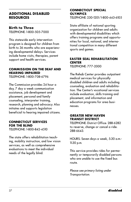#### **ADDITIONAL DISABLED RESOURCES**

#### **Birth to Three**

TELEPHONE: 1-800-505-7000

This statewide early intervention program is designed for children from birth to 36 months who are experiencing developmental delays. Services include home visits, therapies, parent support and health services.

#### **COMMISSION ON THE DEAF AND HEARING IMPAIRED**

TELEPHONE: 1-800-708-6796

The Commission provides 24 hour a day, 7 day a week communication assistance, job development and placement, personal and family counseling, interpreter training, research, planning and advocacy. Also initiates and supports legislation beneficial to hearing impaired citizens.

#### **CONNECTICUT SERVICES FOR THE BLIND**

TELEPHONE: 1-800-842-4510

The state offers rehabilitation teaching, mobility instruction, and low vision services, as well as comprehensive evaluations to meet the individual needs of the legally blind.

#### **CONNECTICUT SPECIAL OLYMPICS**

TELEPHONE: 230-1201/1-800-443-6105

State affiliate of national sporting organization for children and adults with developmental disabilities which offers training programs and opportunities for local, national, and international competition in many different sports and games.

#### **EASTER SEAL REHABILITATION CENTER**

TELEPHONE: 777-2000

The Rehab Center provides outpatient medical services for physically disabled children and adults including counseling, evaluation and rehabilitation. The Center's vocational services include evaluation, skills training and placement, and information and education programs for area businesses.

#### **GREATER NEW HAVEN TRANSIT DISTRICT**

TELEPHONE: District Office: 288-6282 to reserve, change or cancel a ride: 288-6643.

HOURS: Seven days a week, 5:30 a.m.- 11:30 p.m.

This service provides rides for permanently or temporarily disabled persons who are unable to use the fixed bus route.

Please see primary listing under Transportation.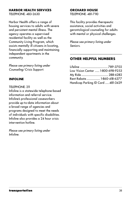#### **HARBOR HEALTH SERVICES**

TELEPHONE: 483-2630

Harbor Health offers a range of housing services to adults with severe and persistent mental illness. The agency operates a supervised residential facility as well as the Community Living Program, which assists mentally ill citizens in locating, financially supporting and maintaining independent apartments in the community.

Please see primary listing under Counseling/Crisis Support.

#### **INFOLINE**

#### TELEPHONE: 211

Infoline is a statewide telephone-based information and referral service. Infoline's professional caseworkers provide up-to-date information about a broad range of agencies and programs designed to meet the needs of individuals with specific disabilities. Infoline also provides a 24 hour crisis intervention hotline.

Please see primary listing under Infoline.

#### **ORCHARD HOUSE**

TELEPHONE: 481-7110

This facility provides therapeutic assistance, social activities and gerontological counseling for adults with mental or physical challenges.

Please see primary listing under Seniors.

#### **OTHER HELPFUL NUMBERS**

| Low Vision Center  1-800-698-9253  |  |
|------------------------------------|--|
|                                    |  |
| Rent Rebate  1-860-418-6377        |  |
| Handicap Parking ID Card  481-3429 |  |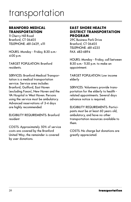### transportation

#### **BRANFORD MEDICAL TRANSPORTATION**

11 Cherry Hill Road Branford, CT 06405 TELEPHONE: 481-3429, x111

HOURS: Monday - Friday, 8:30 a.m.- 4:00 p.m.

TARGET POPULATION: Branford residents.

SERVICES: Branford Medical Transportation is a medical transportation service. Service area includes Branford, Guilford, East Haven (excluding Foxon), New Haven and the VA Hospital in West Haven. Persons using the service must be ambulatory. Advanced reservations of 3-4 days are highly recommended.

ELIGIBILITY REQUIREMENTS: Branford resident

COSTS: Approximately 50% of service costs are covered by the Branford United Way; the remainder is covered by user donations.

#### **EAST SHORE HEALTH DISTRICT TRANSPORTATION PROGRAM**

29C Business Park Drive Branford, CT 06405 TELEPHONE: 481-4235 FAX: 483-6894

HOURS: Monday - Friday, call between 8:30 a.m.- 11:30 p.m. to make an appointment.

TARGET POPULATION: Low income elderly

SERVICES: Volunteers provide transportation for the elderly to health related appointments. Several days advance notice is required.

ELIGIBILITY REQUIREMENTS: Participants must be at least 60 years old, ambulatory, and have no other transportation resources available to them.

COSTS: No charge but donations are greatly appreciated.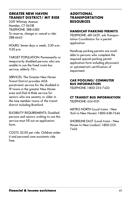#### **GREATER NEW HAVEN TRANSIT DISTRICT/ MY RIDE**

2319 Whitney Avenue Hamden, CT 06518 TELEPHONE: 288-6282 To reserve, change or cancel a ride: 288-6643.

HOURS: Seven days a week, 5:30 a.m.- 11:30 p.m.

TARGET POPULATION: Permanently or temporarily disabled persons who are unable to use the fixed route bus service; elderly 70+.

SERVICES: The Greater New Haven Transit District provides ADA paratransit service for the disabled in 19 towns in the greater New Haven area and Dial-A-Ride service for seniors who are seventy or older in the nine member towns of the transit district including Branford.

ELIGIBILITY REQUIREMENTS: Disabled persons and seniors wishing to use this service must fill out an application form.

COSTS: \$2.00 per ride. Children under 6 and personal care assistants ride free.

#### **ADDITIONAL TRANSPORTATION RESOURCES**

#### **HANDICAP PARKING PERMITS**

TELEPHONE: 481-3429, ask Transportation Coordinator for a permit application

Handicap parking permits are available to persons who complete the required special parking permit application form including physician's or optometrist's certification of impairment.

#### **CAR POOLING/ COMMUTER BUS INFORMATION**

TELEPHONE: 1-800-255-7433

#### **CT TRANSIT BUS INFORMATION** TELEPHONE: 624-0151

METRO NORTH (Local trains - New York to New Haven): 1-800-638-7646

SHORELINE EAST (Local trains - New Haven to New London): 1-800-255- 7433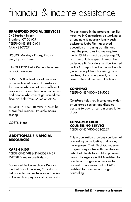### financial & income assistance

#### **BRANFORD SOCIAL SERVICES**

342 Harbor Street Branford, CT 06405 TELEPHONE: 488-5404 FAX: 483-7727

HOURS: Monday - Friday, 9 a.m.- 1 p.m., 2 p.m. - 5 p.m.

TARGET POPULATION: People in need of social services.

SERVICES: Branford Social Services provides limited financial assistance for people who do not have sufficient resources to meet their living expenses and people who cannot get immediate financial help from SAGA or AFDC.

ELIGIBILITY REQUIREMENTS: Must be a Branford resident. Possible means testing.

COSTS: None

#### **ADDITIONAL FINANCIAL RESOURCES**

#### **CARE 4 KIDS**

TELEPHONE: 1-888-214-KIDS (5437) WEBSITE: www.care4kids.org

Sponsored by Connecticut's Department of Social Services, Care 4 Kids helps low to moderate income families in Connecticut pay for child care costs. To participate in the program, families must live in Connecticut; be working or attending a temporary family cash assistance (Jobs First) approved education or training activity; and meet the program's income requirements. Children must be under age 13, or if the child has special needs, be under age 19. Providers must be licensed by the CT Department of Public Health (unless exempt from licensing); be a relative, like a grandparent; or take care of the child in the child's home.

#### **CONNPACE**

TELEPHONE: 1-800-423-5026

ConnPace helps low income and under or uninsured seniors and disabled persons to pay for certain prescription drugs.

#### **CONSUMER CREDIT COUNSELING SERVICE** TELEPHONE: 1-800-208-2227

This organization provides confidential counseling on budgeting and money management. Their Debt Management Program negotiates with creditors on behalf of clients to establish payment plans. The Agency is HUD-certified to handle mortgage delinquencies to prevent foreclosures and is AARPcertified for reverse mortgage counseling.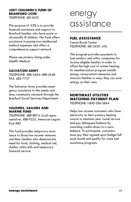#### **JOEY CHILDREN'S FUND OF BRANFORD (JCFB)**

TELEPHONE: 481-3622

The purpose of JCFB is to provide financial assistance and support to Branford families who have acute or chronically ill children. The Fund offers assistance in paying non-reimbursed medical expenses and offers a comprehensive support network.

Please see primary listing under Health/Medical.

#### **SALVATION ARMY**

TELEPHONE: 488-5404/488-4248 FAX: 483-7727

The Salvation Army provides emergency assistance to the needy and does community outreach through the Branford Social Services Department.

#### **SOLDIERS, SAILORS AND MARINE FUND**

TELEPHONE: 488-8874, local representative, 488-9253, American Legion Post #83

This fund provides temporary assistance to those low income veterans and their families who demonstrate need for food, clothing, medical aid, shelter, utility bills and temporary financial service.

### energy assistance

#### **FUEL ASSISTANCE**

Canoe Brook Center TELEPHONE: 481-3429, x114

This program provides payments to fuel vendors and utility companies for income eligible families in order to offset the high cost of winter heating. Its weatherization program installs energy conservation measures and instructs families in ways they can save energy on their own.

#### **NORTHEAST UTILITIES MATCHING PAYMENT PLAN** TELEPHONE: 1-800-286-5844

Helps low income customers who have electricity as their primary heating source to maintain year round service and pay delinquent balance by awarding credits down to a zero balance. To participate, customers must pay their agreed upon budget bill each month and qualify for state fuel assistance programs.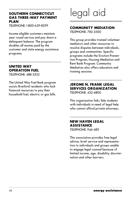#### **SOUTHERN CONNECTICUT GAS THREE-WAY PAYMENT PLAN**

TELEPHONE: 1-800-659-8299

Income eligible customers maintain year round service and pay down a delinquent balance. The program doubles all monies paid by the customer and state energy assistance programs.

#### **UNITED WAY OPERATION FUEL**

TELEPHONE: 488-3322

The United Way Fuel Bank program assists Branford residents who lack financial resources to pay their household fuel, electric or gas bills.

## legal aid

#### **COMMUNITY MEDIATION**

TELEPHONE: 782-3500

This group provides trained volunteer mediators and other resources to resolve disputes between individuals, groups and communities. Specific programs include the Eviction Prevention Program, Housing Mediation and Rent Bank Program. Community Mediation also offers education and training sessions.

#### **JEROME N. FRANK LEGAL SERVICES ORGANIZATION** TELEPHONE: 432-4800

This organization links Yale students with individuals in need of legal help who cannot afford private attorneys.

#### **NEW HAVEN LEGAL ASSISTANCE**

TELEPHONE: 946-4811

This association provides free legal advice, brief service and representation to individuals and groups unable to engage legal counsel because of limited income, age, disability, discrimination and other barriers.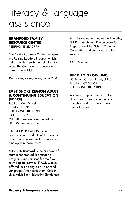### literacy & language assistance

#### **BRANFORD FAMILY RESOURCE CENTER**

TELEPHONE: 315-3799

The Family Resource Center sponsors the Raising Readers Program which helps families teach their children to read. The Center also sponsors a Parents Book Club.

Please see primary listing under Youth.

#### **EAST SHORE REGION ADULT & CONTINUING EDUCATION (ERACE)**

185 East Main Street Branford CT 06405 TELEPHONE: 488-5693 FAX: 315-5149 WEBSITE: www.erace-adulted.org HOURS: evening classes

TARGET POPULATION: Branford residents and residents of the cooperating towns as well as those who are employed in these towns.

SERVICES: Branford is the provider of state mandated adult education programs and services for the fivetown region know as ERACE. Classes offered include English as a Second Language, Americanization/Citizenship, Adult Basic Education (fundamentals of reading, writing and arithmetic), G.E.D. (High School Equivalency) Test Preparation, High School Diploma Completion and career counseling services.

COSTS: none.

#### **READ TO GROW, INC.**

53 School Ground Road, Unit 3 Branford, CT 06405 TELEPHONE: 488-6800

A non-profit program that takes donations of used books in good condition and distributes them to needy families.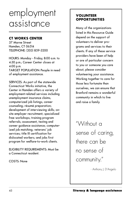### employment assistance

#### **CT WORKS CENTER**

37 Marne Street Hamden, CT 06514 TELEPHONE: (203) 859-3200

HOURS: Monday - Friday, 8:00 a.m. to 4:30 p.m.; Career Center closes at 4:00 p.m. TARGET POPULATION: People in need of employment assistance.

SERVICES: As part of the statewide Connecticut Works initiative, the Center in Hamden offers a variety of employment-related services including unemployment insurance claims; computerized job listings; career counseling; résumé preparation; development of interviewing skills; onsite employer recruitment; specialized free workshops; training program referrals; assessment, testing and career guidance assistance; computerized job matching; veterans' job services; title III certification for dislocated workers; and jobs first program for welfare-to-work clients.

ELIGIBILITY REQUIREMENTS: Must be a Connecticut resident.

COSTS: None

#### **VOLUNTEER OPPORTUNITIES**

Many of the organizations listed in this Resource Guide depend on the support of volunteers to deliver programs and services to their clients. If any of these service providers have been of help or are of particular concern to you or someone you care about, please consider volunteering your assistance. Working together to care for those less fortunate than ourselves, we can ensure that Branford remains a wonderful community in which to live and raise a family.

"Without a sense of caring, there can be no sense of community."

- Anthony J. D'Angelo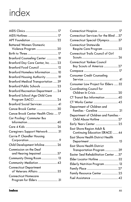### index

**COL** 

| <b>Battered Women/Domestic</b>                        |  |
|-------------------------------------------------------|--|
| Violence Program  20                                  |  |
|                                                       |  |
| Branford Counseling Center  19                        |  |
| Branford Day Care Center, Inc.  23                    |  |
| Branford Food Council  12                             |  |
| Branford Homeless Information  10                     |  |
| Branford Housing Authority  19                        |  |
| Branford Medical Transportation  39                   |  |
| Branford Public Schools  23                           |  |
| Branford Recreation Department  24                    |  |
| Branford School Age Child Care                        |  |
|                                                       |  |
| Branford Social Services  41                          |  |
| Canoe Brook Center  30                                |  |
| Canoe Brook Center Health Clinic  17                  |  |
| Car Pooling/ Commuter Bus                             |  |
|                                                       |  |
|                                                       |  |
| Caregivers Support Network 31                         |  |
| Carrie P. Chandler Housing                            |  |
|                                                       |  |
| Child Development Infoline 26                         |  |
| Commission on the Deaf                                |  |
| and Hearing Impaired  37                              |  |
| Community Dining Room  13                             |  |
| Community Mediation  43                               |  |
| <b>Connecticut Department</b>                         |  |
| of Veterans Affairs  35                               |  |
| <b>Connecticut Homecare</b><br>Program for Elders  31 |  |
|                                                       |  |

| Connecticut Hospice  17                                         |
|-----------------------------------------------------------------|
| Connecticut Services for the Blind  37                          |
| Connecticut Special Olympics 37                                 |
| <b>Connecticut Statewide</b>                                    |
| Respite Care Program  32                                        |
| Connecticut Trails Council of Girl                              |
|                                                                 |
| <b>Connecticut Yankee Council</b>                               |
| Boy Scouts of America  27                                       |
|                                                                 |
| <b>Consumer Credit Counseling</b>                               |
| Consumer Law Project for Elders  32                             |
| <b>Coordinating Council for</b>                                 |
|                                                                 |
| CT Transit Bus Information  40                                  |
|                                                                 |
| Department of Children and                                      |
| Families - Careline  21                                         |
| Department of Children and Families -                           |
|                                                                 |
|                                                                 |
| East Shore Region Adult &                                       |
| Continuing Education (ERACE)  44                                |
| East Shore Health District Health                               |
|                                                                 |
| <b>East Shore Health District</b><br>Transportation Program  39 |
| Easter Seal Rehabilitation Center  37                           |
| Elder Locator Hotline  32                                       |
| Elderly Nutrition Program  13                                   |
|                                                                 |
| Family Resource Center  25                                      |
|                                                                 |
|                                                                 |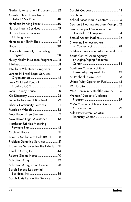| Geriatric Assessment Programs  32       |
|-----------------------------------------|
| <b>Greater New Haven Transit</b>        |
| District/ My Ride  40                   |
| Handicap Parking Permits  40            |
| Harbor Health Services  19              |
| <b>Harbor Health Services</b>           |
| Homemaker Thrift Shop  14               |
|                                         |
| Hospital/University Counseling          |
|                                         |
| Husky Health Insurance Program  18      |
|                                         |
| Interfaith Volunteer Caregivers  33     |
| Jerome N. Frank Legal Services          |
|                                         |
| Joey Children's Fund of                 |
|                                         |
| John B. Sliney House  10                |
|                                         |
| La Leche League of Branford  29         |
| Liberty Community Services  11          |
|                                         |
| New Haven Area Shelters  11             |
| New Haven Legal Assistance  43          |
| Northeast Utilities Matching            |
|                                         |
|                                         |
| Parents Available to Help (PATH)  18    |
| Problem Gambling Services  21           |
| Protective Services for the Elderly  21 |
|                                         |
|                                         |
|                                         |
| Salvation Army, Camp Connri  28         |
| Sarah Seneca Residential                |
|                                         |
| Sarah Tuxis Residential Services  36    |